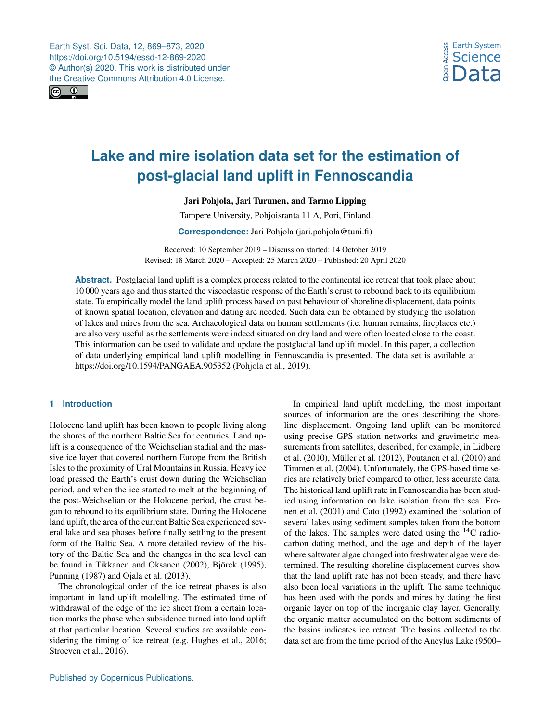

# **Lake and mire isolation data set for the estimation of post-glacial land uplift in Fennoscandia**

Jari Pohjola, Jari Turunen, and Tarmo Lipping

Tampere University, Pohjoisranta 11 A, Pori, Finland

**Correspondence:** Jari Pohjola (jari.pohjola@tuni.fi)

Received: 10 September 2019 – Discussion started: 14 October 2019 Revised: 18 March 2020 – Accepted: 25 March 2020 – Published: 20 April 2020

**Abstract.** Postglacial land uplift is a complex process related to the continental ice retreat that took place about 10 000 years ago and thus started the viscoelastic response of the Earth's crust to rebound back to its equilibrium state. To empirically model the land uplift process based on past behaviour of shoreline displacement, data points of known spatial location, elevation and dating are needed. Such data can be obtained by studying the isolation of lakes and mires from the sea. Archaeological data on human settlements (i.e. human remains, fireplaces etc.) are also very useful as the settlements were indeed situated on dry land and were often located close to the coast. This information can be used to validate and update the postglacial land uplift model. In this paper, a collection of data underlying empirical land uplift modelling in Fennoscandia is presented. The data set is available at https://doi.org[/10.1594/PANGAEA.905352](https://doi.org/10.1594/PANGAEA.905352) [\(Pohjola et al.,](#page-4-0) [2019\)](#page-4-0).

## **1 Introduction**

Holocene land uplift has been known to people living along the shores of the northern Baltic Sea for centuries. Land uplift is a consequence of the Weichselian stadial and the massive ice layer that covered northern Europe from the British Isles to the proximity of Ural Mountains in Russia. Heavy ice load pressed the Earth's crust down during the Weichselian period, and when the ice started to melt at the beginning of the post-Weichselian or the Holocene period, the crust began to rebound to its equilibrium state. During the Holocene land uplift, the area of the current Baltic Sea experienced several lake and sea phases before finally settling to the present form of the Baltic Sea. A more detailed review of the history of the Baltic Sea and the changes in the sea level can be found in [Tikkanen and Oksanen](#page-4-1) [\(2002\)](#page-4-1), [Björck](#page-3-0) [\(1995\)](#page-3-0), [Punning](#page-4-2) [\(1987\)](#page-4-2) and [Ojala et al.](#page-4-3) [\(2013\)](#page-4-3).

The chronological order of the ice retreat phases is also important in land uplift modelling. The estimated time of withdrawal of the edge of the ice sheet from a certain location marks the phase when subsidence turned into land uplift at that particular location. Several studies are available considering the timing of ice retreat (e.g. [Hughes et al.,](#page-4-4) [2016;](#page-4-4) [Stroeven et al.,](#page-4-5) [2016\)](#page-4-5).

In empirical land uplift modelling, the most important sources of information are the ones describing the shoreline displacement. Ongoing land uplift can be monitored using precise GPS station networks and gravimetric measurements from satellites, described, for example, in [Lidberg](#page-4-6) [et al.](#page-4-6) [\(2010\)](#page-4-6), [Müller et al.](#page-4-7) [\(2012\)](#page-4-7), [Poutanen et al.](#page-4-8) [\(2010\)](#page-4-8) and [Timmen et al.](#page-4-9) [\(2004\)](#page-4-9). Unfortunately, the GPS-based time series are relatively brief compared to other, less accurate data. The historical land uplift rate in Fennoscandia has been studied using information on lake isolation from the sea. [Ero](#page-4-10)[nen et al.](#page-4-10) [\(2001\)](#page-4-10) and [Cato](#page-4-11) [\(1992\)](#page-4-11) examined the isolation of several lakes using sediment samples taken from the bottom of the lakes. The samples were dated using the  $^{14}$ C radiocarbon dating method, and the age and depth of the layer where saltwater algae changed into freshwater algae were determined. The resulting shoreline displacement curves show that the land uplift rate has not been steady, and there have also been local variations in the uplift. The same technique has been used with the ponds and mires by dating the first organic layer on top of the inorganic clay layer. Generally, the organic matter accumulated on the bottom sediments of the basins indicates ice retreat. The basins collected to the data set are from the time period of the Ancylus Lake (9500–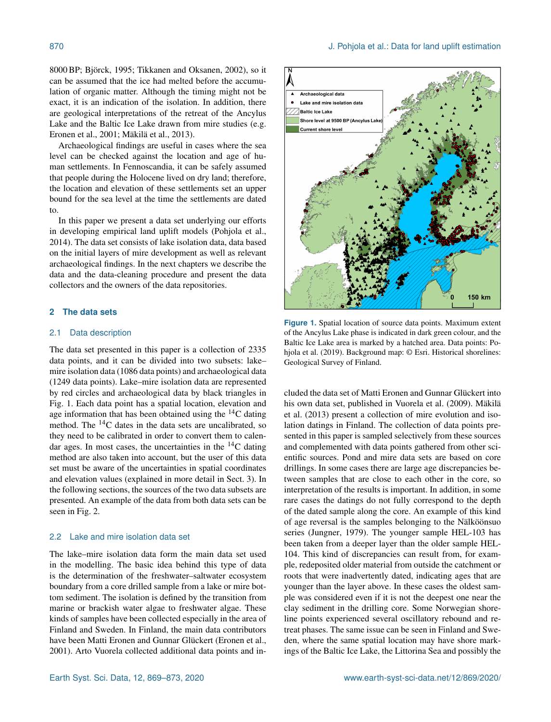8000 BP; [Björck,](#page-3-0) [1995;](#page-3-0) [Tikkanen and Oksanen,](#page-4-1) [2002\)](#page-4-1), so it can be assumed that the ice had melted before the accumulation of organic matter. Although the timing might not be exact, it is an indication of the isolation. In addition, there are geological interpretations of the retreat of the Ancylus Lake and the Baltic Ice Lake drawn from mire studies (e.g. [Eronen et al.,](#page-4-10) [2001;](#page-4-10) [Mäkilä et al.,](#page-4-12) [2013\)](#page-4-12).

Archaeological findings are useful in cases where the sea level can be checked against the location and age of human settlements. In Fennoscandia, it can be safely assumed that people during the Holocene lived on dry land; therefore, the location and elevation of these settlements set an upper bound for the sea level at the time the settlements are dated to.

In this paper we present a data set underlying our efforts in developing empirical land uplift models [\(Pohjola et al.,](#page-4-13) [2014\)](#page-4-13). The data set consists of lake isolation data, data based on the initial layers of mire development as well as relevant archaeological findings. In the next chapters we describe the data and the data-cleaning procedure and present the data collectors and the owners of the data repositories.

# **2 The data sets**

#### 2.1 Data description

The data set presented in this paper is a collection of 2335 data points, and it can be divided into two subsets: lake– mire isolation data (1086 data points) and archaeological data (1249 data points). Lake–mire isolation data are represented by red circles and archaeological data by black triangles in Fig. [1.](#page-1-0) Each data point has a spatial location, elevation and age information that has been obtained using the  ${}^{14}C$  dating method. The  $^{14}$ C dates in the data sets are uncalibrated, so they need to be calibrated in order to convert them to calendar ages. In most cases, the uncertainties in the  $^{14}$ C dating method are also taken into account, but the user of this data set must be aware of the uncertainties in spatial coordinates and elevation values (explained in more detail in Sect. 3). In the following sections, the sources of the two data subsets are presented. An example of the data from both data sets can be seen in Fig. [2.](#page-2-0)

#### 2.2 Lake and mire isolation data set

The lake–mire isolation data form the main data set used in the modelling. The basic idea behind this type of data is the determination of the freshwater–saltwater ecosystem boundary from a core drilled sample from a lake or mire bottom sediment. The isolation is defined by the transition from marine or brackish water algae to freshwater algae. These kinds of samples have been collected especially in the area of Finland and Sweden. In Finland, the main data contributors have been Matti Eronen and Gunnar Glückert [\(Eronen et al.,](#page-4-10) [2001\)](#page-4-10). Arto Vuorela collected additional data points and in-

<span id="page-1-0"></span>

**Figure 1.** Spatial location of source data points. Maximum extent of the Ancylus Lake phase is indicated in dark green colour, and the Baltic Ice Lake area is marked by a hatched area. Data points: [Po](#page-4-0)[hjola et al.](#page-4-0) [\(2019\)](#page-4-0). Background map: © Esri. Historical shorelines: Geological Survey of Finland.

cluded the data set of Matti Eronen and Gunnar Glückert into his own data set, published in [Vuorela et al.](#page-4-14) [\(2009\)](#page-4-14). [Mäkilä](#page-4-12) [et al.](#page-4-12) [\(2013\)](#page-4-12) present a collection of mire evolution and isolation datings in Finland. The collection of data points presented in this paper is sampled selectively from these sources and complemented with data points gathered from other scientific sources. Pond and mire data sets are based on core drillings. In some cases there are large age discrepancies between samples that are close to each other in the core, so interpretation of the results is important. In addition, in some rare cases the datings do not fully correspond to the depth of the dated sample along the core. An example of this kind of age reversal is the samples belonging to the Nälköönsuo series [\(Jungner,](#page-4-15) [1979\)](#page-4-15). The younger sample HEL-103 has been taken from a deeper layer than the older sample HEL-104. This kind of discrepancies can result from, for example, redeposited older material from outside the catchment or roots that were inadvertently dated, indicating ages that are younger than the layer above. In these cases the oldest sample was considered even if it is not the deepest one near the clay sediment in the drilling core. Some Norwegian shoreline points experienced several oscillatory rebound and retreat phases. The same issue can be seen in Finland and Sweden, where the same spatial location may have shore markings of the Baltic Ice Lake, the Littorina Sea and possibly the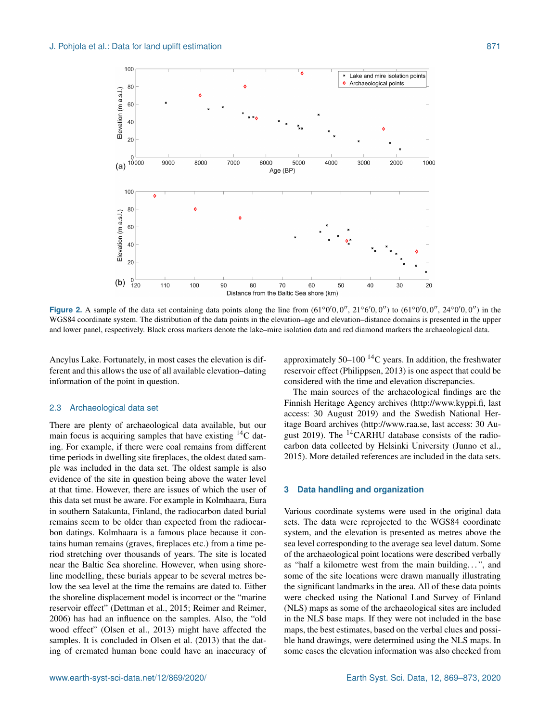<span id="page-2-0"></span>

**Figure 2.** A sample of the data set containing data points along the line from  $(61°0'0, 0'', 21°6'0, 0'')$  to  $(61°0'0, 0'', 24°0'0, 0'')$  in the WGS84 coordinate system. The distribution of the data points in the elevation–age and elevation–distance domains is presented in the upper and lower panel, respectively. Black cross markers denote the lake–mire isolation data and red diamond markers the archaeological data.

Ancylus Lake. Fortunately, in most cases the elevation is different and this allows the use of all available elevation–dating information of the point in question.

#### 2.3 Archaeological data set

There are plenty of archaeological data available, but our main focus is acquiring samples that have existing  ${}^{14}C$  dating. For example, if there were coal remains from different time periods in dwelling site fireplaces, the oldest dated sample was included in the data set. The oldest sample is also evidence of the site in question being above the water level at that time. However, there are issues of which the user of this data set must be aware. For example in Kolmhaara, Eura in southern Satakunta, Finland, the radiocarbon dated burial remains seem to be older than expected from the radiocarbon datings. Kolmhaara is a famous place because it contains human remains (graves, fireplaces etc.) from a time period stretching over thousands of years. The site is located near the Baltic Sea shoreline. However, when using shoreline modelling, these burials appear to be several metres below the sea level at the time the remains are dated to. Either the shoreline displacement model is incorrect or the "marine reservoir effect" [\(Dettman et al.,](#page-4-16) [2015;](#page-4-16) [Reimer and Reimer,](#page-4-17) [2006\)](#page-4-17) has had an influence on the samples. Also, the "old wood effect" [\(Olsen et al.,](#page-4-18) [2013\)](#page-4-18) might have affected the samples. It is concluded in [Olsen et al.](#page-4-18) [\(2013\)](#page-4-18) that the dating of cremated human bone could have an inaccuracy of

approximately  $50-100$  <sup>14</sup>C years. In addition, the freshwater reservoir effect [\(Philippsen,](#page-4-19) [2013\)](#page-4-19) is one aspect that could be considered with the time and elevation discrepancies.

The main sources of the archaeological findings are the Finnish Heritage Agency archives [\(http://www.kyppi.fi,](http://www.kyppi.fi) last access: 30 August 2019) and the Swedish National Heritage Board archives [\(http://www.raa.se,](http://www.raa.se) last access: 30 August 2019). The <sup>14</sup>CARHU database consists of the radiocarbon data collected by Helsinki University [\(Junno et al.,](#page-4-20) [2015\)](#page-4-20). More detailed references are included in the data sets.

## **3 Data handling and organization**

Various coordinate systems were used in the original data sets. The data were reprojected to the WGS84 coordinate system, and the elevation is presented as metres above the sea level corresponding to the average sea level datum. Some of the archaeological point locations were described verbally as "half a kilometre west from the main building. . . ", and some of the site locations were drawn manually illustrating the significant landmarks in the area. All of these data points were checked using the National Land Survey of Finland (NLS) maps as some of the archaeological sites are included in the NLS base maps. If they were not included in the base maps, the best estimates, based on the verbal clues and possible hand drawings, were determined using the NLS maps. In some cases the elevation information was also checked from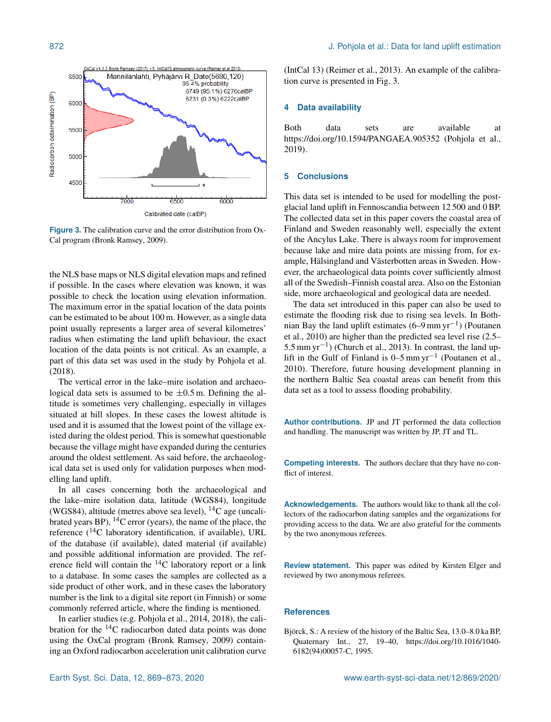<span id="page-3-1"></span>

**Figure 3.** The calibration curve and the error distribution from Ox-Cal program [\(Bronk Ramsey,](#page-4-21) [2009\)](#page-4-21).

the NLS base maps or NLS digital elevation maps and refined if possible. In the cases where elevation was known, it was possible to check the location using elevation information. The maximum error in the spatial location of the data points can be estimated to be about 100 m. However, as a single data point usually represents a larger area of several kilometres' radius when estimating the land uplift behaviour, the exact location of the data points is not critical. As an example, a part of this data set was used in the study by [Pohjola et al.](#page-4-22) [\(2018\)](#page-4-22).

The vertical error in the lake–mire isolation and archaeological data sets is assumed to be  $\pm 0.5$  m. Defining the altitude is sometimes very challenging, especially in villages situated at hill slopes. In these cases the lowest altitude is used and it is assumed that the lowest point of the village existed during the oldest period. This is somewhat questionable because the village might have expanded during the centuries around the oldest settlement. As said before, the archaeological data set is used only for validation purposes when modelling land uplift.

In all cases concerning both the archaeological and the lake–mire isolation data, latitude (WGS84), longitude (WGS84), altitude (metres above sea level),  $^{14}$ C age (uncalibrated years BP),  $^{14}$ C error (years), the name of the place, the reference (14C laboratory identification, if available), URL of the database (if available), dated material (if available) and possible additional information are provided. The reference field will contain the <sup>14</sup>C laboratory report or a link to a database. In some cases the samples are collected as a side product of other work, and in these cases the laboratory number is the link to a digital site report (in Finnish) or some commonly referred article, where the finding is mentioned.

In earlier studies (e.g. [Pohjola et al.,](#page-4-13) [2014,](#page-4-13) [2018\)](#page-4-22), the calibration for the  $^{14}$ C radiocarbon dated data points was done using the OxCal program [\(Bronk Ramsey,](#page-4-21) [2009\)](#page-4-21) containing an Oxford radiocarbon acceleration unit calibration curve (IntCal 13) [\(Reimer et al.,](#page-4-23) [2013\)](#page-4-23). An example of the calibration curve is presented in Fig. [3.](#page-3-1)

#### **4 Data availability**

Both data sets are available at https://doi.org[/10.1594/PANGAEA.905352](https://doi.org/10.1594/PANGAEA.905352) [\(Pohjola et al.,](#page-4-0) [2019\)](#page-4-0).

### **5 Conclusions**

This data set is intended to be used for modelling the postglacial land uplift in Fennoscandia between 12 500 and 0 BP. The collected data set in this paper covers the coastal area of Finland and Sweden reasonably well, especially the extent of the Ancylus Lake. There is always room for improvement because lake and mire data points are missing from, for example, Hälsingland and Västerbotten areas in Sweden. However, the archaeological data points cover sufficiently almost all of the Swedish–Finnish coastal area. Also on the Estonian side, more archaeological and geological data are needed.

The data set introduced in this paper can also be used to estimate the flooding risk due to rising sea levels. In Bothnian Bay the land uplift estimates (6–9 mm yr−<sup>1</sup> ) [\(Poutanen](#page-4-8) [et al.,](#page-4-8) [2010\)](#page-4-8) are higher than the predicted sea level rise (2.5– 5.5 mm yr−<sup>1</sup> ) [\(Church et al.,](#page-4-24) [2013\)](#page-4-24). In contrast, the land uplift in the Gulf of Finland is 0–5 mm yr−<sup>1</sup> [\(Poutanen et al.,](#page-4-8) [2010\)](#page-4-8). Therefore, future housing development planning in the northern Baltic Sea coastal areas can benefit from this data set as a tool to assess flooding probability.

**Author contributions.** JP and JT performed the data collection and handling. The manuscript was written by JP, JT and TL.

**Competing interests.** The authors declare that they have no conflict of interest.

**Acknowledgements.** The authors would like to thank all the collectors of the radiocarbon dating samples and the organizations for providing access to the data. We are also grateful for the comments by the two anonymous referees.

**Review statement.** This paper was edited by Kirsten Elger and reviewed by two anonymous referees.

#### **References**

<span id="page-3-0"></span>Björck, S.: A review of the history of the Baltic Sea, 13.0–8.0 ka BP, Quaternary Int., 27, 19–40, https://doi.org[/10.1016/1040-](https://doi.org/10.1016/1040-6182(94)00057-C) [6182\(94\)00057-C,](https://doi.org/10.1016/1040-6182(94)00057-C) 1995.